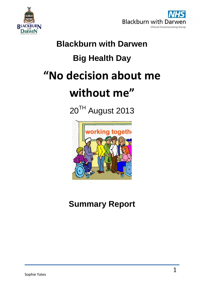



## **Blackburn with Darwen Big Health Day "No decision about me without me"**

20<sup>TH</sup> August 2013



## **Summary Report**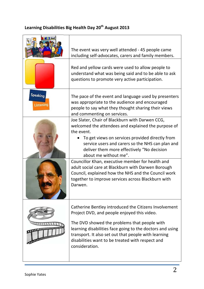## **Learning Disabilities Big Health Day 20th August 2013**

|                                     | The event was very well attended - 45 people came<br>including self-advocates, carers and family members.                                                                                                                                                                                                                                                                                                                                                                                                                            |  |  |  |
|-------------------------------------|--------------------------------------------------------------------------------------------------------------------------------------------------------------------------------------------------------------------------------------------------------------------------------------------------------------------------------------------------------------------------------------------------------------------------------------------------------------------------------------------------------------------------------------|--|--|--|
|                                     | Red and yellow cards were used to allow people to<br>understand what was being said and to be able to ask<br>questions to promote very active participation.                                                                                                                                                                                                                                                                                                                                                                         |  |  |  |
| <b>Speaking</b><br><b>Listening</b> | The pace of the event and language used by presenters<br>was appropriate to the audience and encouraged<br>people to say what they thought sharing their views<br>and commenting on services.                                                                                                                                                                                                                                                                                                                                        |  |  |  |
|                                     | Joe Slater, Chair of Blackburn with Darwen CCG,<br>welcomed the attendees and explained the purpose of<br>the event.<br>To get views on services provided directly from<br>service users and carers so the NHS can plan and<br>deliver them more effectively "No decision<br>about me without me".<br>Councillor Khan, executive member for health and<br>adult social care at Blackburn with Darwen Borough<br>Council, explained how the NHS and the Council work<br>together to improve services across Blackburn with<br>Darwen. |  |  |  |
|                                     | Catherine Bentley introduced the Citizens Involvement<br>Project DVD, and people enjoyed this video.<br>The DVD showed the problems that people with<br>learning disabilities face going to the doctors and using<br>transport. It also set out that people with learning<br>disabilities want to be treated with respect and<br>consideration.                                                                                                                                                                                      |  |  |  |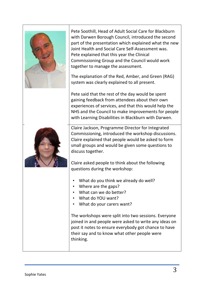| Pete Soothill, Head of Adult Social Care for Blackburn<br>with Darwen Borough Council, introduced the second<br>part of the presentation which explained what the new<br>Joint Health and Social Care Self-Assessment was.<br>Pete explained that this year the Clinical<br>Commissioning Group and the Council would work<br>together to manage the assessment.<br>The explanation of the Red, Amber, and Green (RAG)<br>system was clearly explained to all present. |  |
|------------------------------------------------------------------------------------------------------------------------------------------------------------------------------------------------------------------------------------------------------------------------------------------------------------------------------------------------------------------------------------------------------------------------------------------------------------------------|--|
| Pete said that the rest of the day would be spent<br>gaining feedback from attendees about their own<br>experiences of services, and that this would help the<br>NHS and the Council to make improvements for people<br>with Learning Disabilities in Blackburn with Darwen.                                                                                                                                                                                           |  |
| Claire Jackson, Programme Director for Integrated<br>Commissioning, introduced the workshop discussions.<br>Claire explained that people would be asked to form<br>small groups and would be given some questions to<br>discuss together.                                                                                                                                                                                                                              |  |
| Claire asked people to think about the following<br>questions during the workshop:                                                                                                                                                                                                                                                                                                                                                                                     |  |
| What do you think we already do well?<br>Where are the gaps?<br>What can we do better?<br>What do YOU want?<br>What do your carers want?                                                                                                                                                                                                                                                                                                                               |  |
| The workshops were split into two sessions. Everyone<br>joined in and people were asked to write any ideas on<br>post it notes to ensure everybody got chance to have<br>their say and to know what other people were<br>thinking.                                                                                                                                                                                                                                     |  |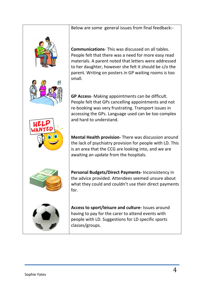

**Communications**‐ This was discussed on all tables. People felt that there was a need for more easy read materials. A parent noted that letters were addressed to her daughter, however she felt it should be c/o the parent. Writing on posters in GP waiting rooms is too small.

**GP Access**‐ Making appointments can be difficult. People felt that GPs cancelling appointments and not re‐booking was very frustrating. Transport issues in accessing the GPs. Language used can be too complex and hard to understand.

**Mental Health provision‐** There was discussion around the lack of psychiatry provision for people with LD. This is an area that the CCG are looking into, and we are awaiting an update from the hospitals.





**Personal Budgets/Direct Payments‐** Inconsistency in the advice provided. Attendees seemed unsure about what they could and couldn't use their direct payments for.

**Access to sport/leisure and culture‐** Issues around having to pay for the carer to attend events with people with LD. Suggestions for LD specific sports classes/groups.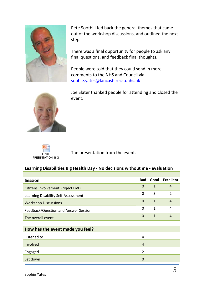|                  | Pete Soothill fed back the general themes that came<br>out of the workshop discussions, and outlined the next<br>steps.<br>There was a final opportunity for people to ask any<br>final questions, and feedback final thoughts.<br>People were told that they could send in more<br>comments to the NHS and Council via<br>sophie.yates@lancashirecsu.nhs.uk |
|------------------|--------------------------------------------------------------------------------------------------------------------------------------------------------------------------------------------------------------------------------------------------------------------------------------------------------------------------------------------------------------|
|                  | Joe Slater thanked people for attending and closed the<br>event.                                                                                                                                                                                                                                                                                             |
| PRESENTATION-BIG | The presentation from the event.                                                                                                                                                                                                                                                                                                                             |

| Learning Disabilities Big Health Day - No decisions without me - evaluation |               |              |                  |  |
|-----------------------------------------------------------------------------|---------------|--------------|------------------|--|
|                                                                             |               |              |                  |  |
| <b>Session</b>                                                              | <b>Bad</b>    | Good         | <b>Excellent</b> |  |
| <b>Citizens Involvement Project DVD</b>                                     | $\Omega$      | $\mathbf{1}$ | 4                |  |
| Learning Disability Self-Assessment                                         | $\Omega$      | 3            | $\overline{2}$   |  |
| <b>Workshop Discussions</b>                                                 | $\Omega$      | $\mathbf{1}$ | 4                |  |
| Feedback/Question and Answer Session                                        | $\Omega$      | $\mathbf{1}$ | 4                |  |
| The overall event                                                           | $\Omega$      | 1            | 4                |  |
|                                                                             |               |              |                  |  |
| How has the event made you feel?                                            |               |              |                  |  |
| Listened to                                                                 | 4             |              |                  |  |
| Involved                                                                    | 4             |              |                  |  |
| Engaged                                                                     | $\mathcal{P}$ |              |                  |  |
| Let down                                                                    | $\Omega$      |              |                  |  |